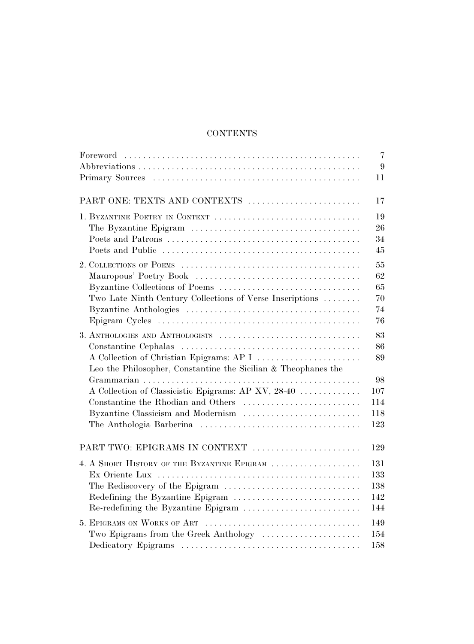## **CONTENTS**

|                                                                | 7              |
|----------------------------------------------------------------|----------------|
|                                                                | $9\phantom{.}$ |
|                                                                | 11             |
| PART ONE: TEXTS AND CONTEXTS                                   | 17             |
| 1. BYZANTINE POETRY IN CONTEXT                                 | 19             |
|                                                                | 26             |
|                                                                | 34             |
|                                                                | 45             |
|                                                                | 55             |
|                                                                | 62             |
| Byzantine Collections of Poems                                 | 65             |
| Two Late Ninth-Century Collections of Verse Inscriptions       | 70             |
|                                                                | 74             |
|                                                                | 76             |
|                                                                | 83             |
|                                                                | 86             |
| A Collection of Christian Epigrams: AP I                       | 89             |
| Leo the Philosopher, Constantine the Sicilian & Theophanes the |                |
|                                                                | 98             |
| A Collection of Classicistic Epigrams: AP XV, 28-40            | 107            |
| Constantine the Rhodian and Others                             | 114            |
| Byzantine Classicism and Modernism                             | 118            |
|                                                                | 123            |
| PART TWO: EPIGRAMS IN CONTEXT                                  | 129            |
| 4. A SHORT HISTORY OF THE BYZANTINE EPIGRAM                    | 131            |
|                                                                | 133            |
| The Rediscovery of the Epigram                                 | 138            |
| Redefining the Byzantine Epigram                               | 142            |
| Re-redefining the Byzantine Epigram                            | 144            |
|                                                                | 149            |
| Two Epigrams from the Greek Anthology                          | 154            |
|                                                                | 158            |
|                                                                |                |